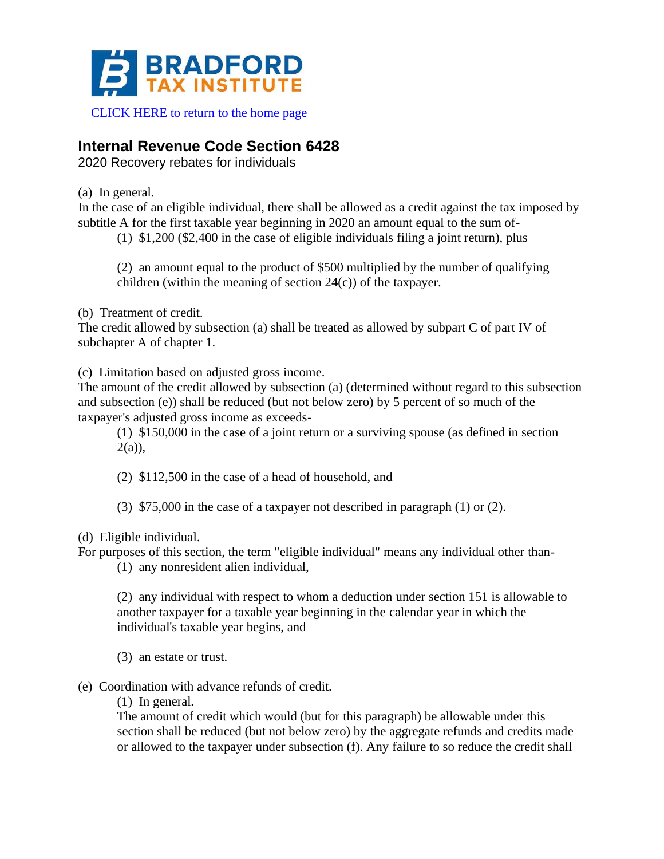

## [CLICK HERE to return to the home page](https://www.bradfordtaxinstitute.com)

## **Internal Revenue Code Section 6428**

2020 Recovery rebates for individuals

(a) In general.

In the case of an eligible individual, there shall be allowed as a credit against the tax imposed by subtitle A for the first taxable year beginning in 2020 an amount equal to the sum of-

(1) \$1,200 (\$2,400 in the case of eligible individuals filing a joint return), plus

(2) an amount equal to the product of \$500 multiplied by the number of qualifying children (within the meaning of section  $24(c)$ ) of the taxpayer.

(b) Treatment of credit.

The credit allowed by subsection (a) shall be treated as allowed by subpart C of part IV of subchapter A of chapter 1.

(c) Limitation based on adjusted gross income.

The amount of the credit allowed by subsection (a) (determined without regard to this subsection and subsection (e)) shall be reduced (but not below zero) by 5 percent of so much of the taxpayer's adjusted gross income as exceeds-

(1) \$150,000 in the case of a joint return or a surviving spouse (as defined in section  $2(a)$ ),

(2) \$112,500 in the case of a head of household, and

(3) \$75,000 in the case of a taxpayer not described in paragraph (1) or (2).

(d) Eligible individual.

For purposes of this section, the term "eligible individual" means any individual other than-

(1) any nonresident alien individual,

(2) any individual with respect to whom a deduction under section 151 is allowable to another taxpayer for a taxable year beginning in the calendar year in which the individual's taxable year begins, and

(3) an estate or trust.

(e) Coordination with advance refunds of credit.

(1) In general.

The amount of credit which would (but for this paragraph) be allowable under this section shall be reduced (but not below zero) by the aggregate refunds and credits made or allowed to the taxpayer under subsection (f). Any failure to so reduce the credit shall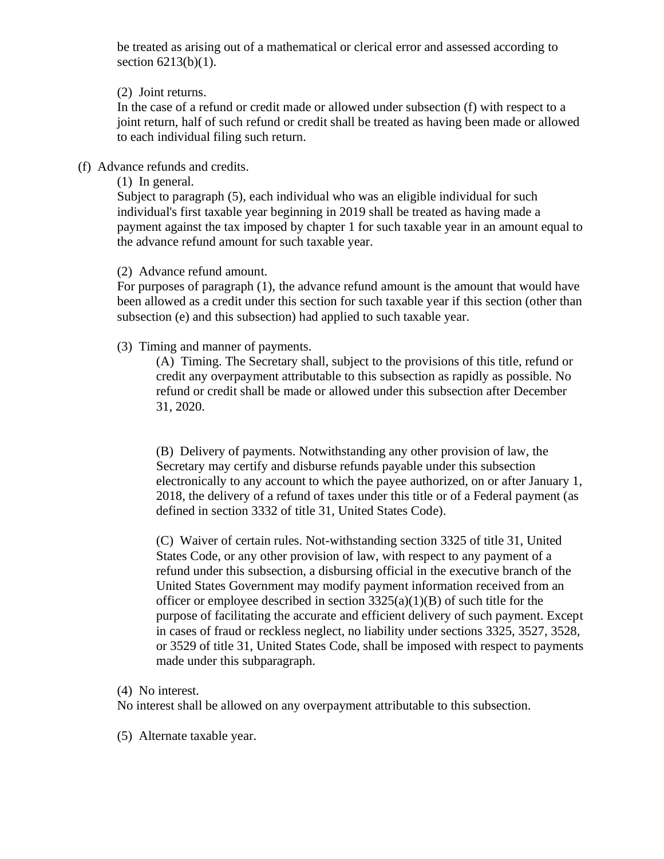be treated as arising out of a mathematical or clerical error and assessed according to section 6213(b)(1).

(2) Joint returns.

In the case of a refund or credit made or allowed under subsection (f) with respect to a joint return, half of such refund or credit shall be treated as having been made or allowed to each individual filing such return.

(f) Advance refunds and credits.

(1) In general.

Subject to paragraph (5), each individual who was an eligible individual for such individual's first taxable year beginning in 2019 shall be treated as having made a payment against the tax imposed by chapter 1 for such taxable year in an amount equal to the advance refund amount for such taxable year.

(2) Advance refund amount.

For purposes of paragraph (1), the advance refund amount is the amount that would have been allowed as a credit under this section for such taxable year if this section (other than subsection (e) and this subsection) had applied to such taxable year.

(3) Timing and manner of payments.

(A) Timing. The Secretary shall, subject to the provisions of this title, refund or credit any overpayment attributable to this subsection as rapidly as possible. No refund or credit shall be made or allowed under this subsection after December 31, 2020.

(B) Delivery of payments. Notwithstanding any other provision of law, the Secretary may certify and disburse refunds payable under this subsection electronically to any account to which the payee authorized, on or after January 1, 2018, the delivery of a refund of taxes under this title or of a Federal payment (as defined in section 3332 of title 31, United States Code).

(C) Waiver of certain rules. Not-withstanding section 3325 of title 31, United States Code, or any other provision of law, with respect to any payment of a refund under this subsection, a disbursing official in the executive branch of the United States Government may modify payment information received from an officer or employee described in section  $3325(a)(1)(B)$  of such title for the purpose of facilitating the accurate and efficient delivery of such payment. Except in cases of fraud or reckless neglect, no liability under sections 3325, 3527, 3528, or 3529 of title 31, United States Code, shall be imposed with respect to payments made under this subparagraph.

(4) No interest.

No interest shall be allowed on any overpayment attributable to this subsection.

(5) Alternate taxable year.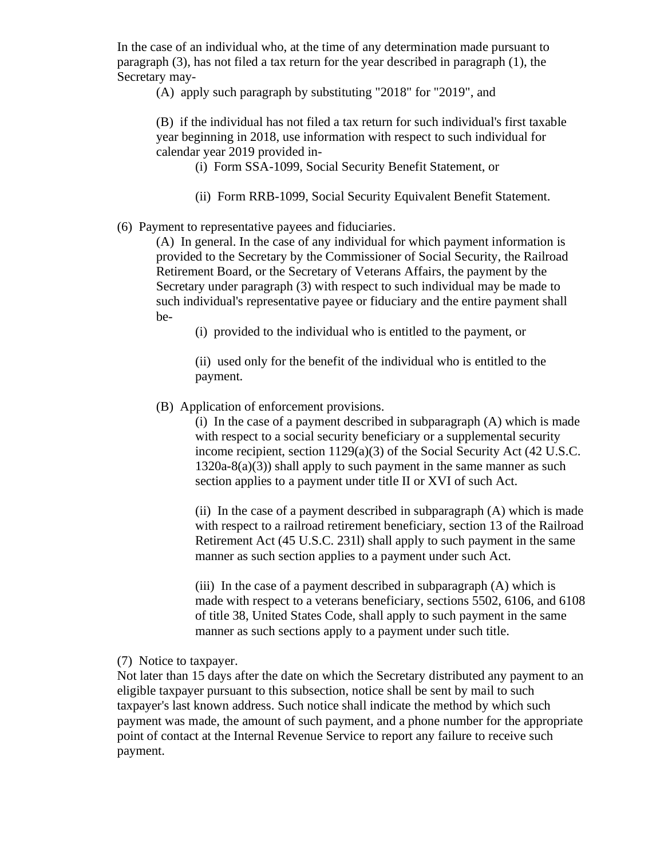In the case of an individual who, at the time of any determination made pursuant to paragraph (3), has not filed a tax return for the year described in paragraph (1), the Secretary may-

(A) apply such paragraph by substituting "2018" for "2019", and

(B) if the individual has not filed a tax return for such individual's first taxable year beginning in 2018, use information with respect to such individual for calendar year 2019 provided in-

(i) Form SSA-1099, Social Security Benefit Statement, or

(ii) Form RRB-1099, Social Security Equivalent Benefit Statement.

(6) Payment to representative payees and fiduciaries.

(A) In general. In the case of any individual for which payment information is provided to the Secretary by the Commissioner of Social Security, the Railroad Retirement Board, or the Secretary of Veterans Affairs, the payment by the Secretary under paragraph (3) with respect to such individual may be made to such individual's representative payee or fiduciary and the entire payment shall be-

(i) provided to the individual who is entitled to the payment, or

(ii) used only for the benefit of the individual who is entitled to the payment.

(B) Application of enforcement provisions.

(i) In the case of a payment described in subparagraph (A) which is made with respect to a social security beneficiary or a supplemental security income recipient, section 1129(a)(3) of the Social Security Act (42 U.S.C.  $1320a-8(a)(3)$ ) shall apply to such payment in the same manner as such section applies to a payment under title II or XVI of such Act.

(ii) In the case of a payment described in subparagraph (A) which is made with respect to a railroad retirement beneficiary, section 13 of the Railroad Retirement Act (45 U.S.C. 231l) shall apply to such payment in the same manner as such section applies to a payment under such Act.

(iii) In the case of a payment described in subparagraph (A) which is made with respect to a veterans beneficiary, sections 5502, 6106, and 6108 of title 38, United States Code, shall apply to such payment in the same manner as such sections apply to a payment under such title.

(7) Notice to taxpayer.

Not later than 15 days after the date on which the Secretary distributed any payment to an eligible taxpayer pursuant to this subsection, notice shall be sent by mail to such taxpayer's last known address. Such notice shall indicate the method by which such payment was made, the amount of such payment, and a phone number for the appropriate point of contact at the Internal Revenue Service to report any failure to receive such payment.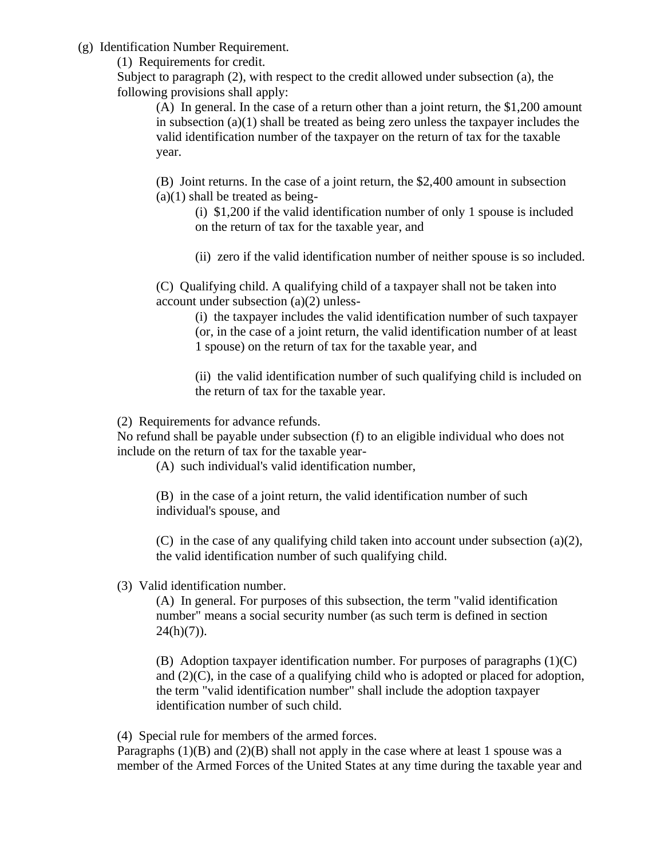(g) Identification Number Requirement.

(1) Requirements for credit.

Subject to paragraph (2), with respect to the credit allowed under subsection (a), the following provisions shall apply:

(A) In general. In the case of a return other than a joint return, the \$1,200 amount in subsection  $(a)(1)$  shall be treated as being zero unless the taxpayer includes the valid identification number of the taxpayer on the return of tax for the taxable year.

(B) Joint returns. In the case of a joint return, the \$2,400 amount in subsection  $(a)(1)$  shall be treated as being-

(i) \$1,200 if the valid identification number of only 1 spouse is included on the return of tax for the taxable year, and

(ii) zero if the valid identification number of neither spouse is so included.

(C) Qualifying child. A qualifying child of a taxpayer shall not be taken into account under subsection (a)(2) unless-

> (i) the taxpayer includes the valid identification number of such taxpayer (or, in the case of a joint return, the valid identification number of at least 1 spouse) on the return of tax for the taxable year, and

> (ii) the valid identification number of such qualifying child is included on the return of tax for the taxable year.

(2) Requirements for advance refunds.

No refund shall be payable under subsection (f) to an eligible individual who does not include on the return of tax for the taxable year-

(A) such individual's valid identification number,

(B) in the case of a joint return, the valid identification number of such individual's spouse, and

(C) in the case of any qualifying child taken into account under subsection (a)(2), the valid identification number of such qualifying child.

(3) Valid identification number.

(A) In general. For purposes of this subsection, the term "valid identification number" means a social security number (as such term is defined in section  $24(h)(7)$ ).

(B) Adoption taxpayer identification number. For purposes of paragraphs  $(1)(C)$ and  $(2)(C)$ , in the case of a qualifying child who is adopted or placed for adoption, the term "valid identification number" shall include the adoption taxpayer identification number of such child.

(4) Special rule for members of the armed forces.

Paragraphs  $(1)(B)$  and  $(2)(B)$  shall not apply in the case where at least 1 spouse was a member of the Armed Forces of the United States at any time during the taxable year and